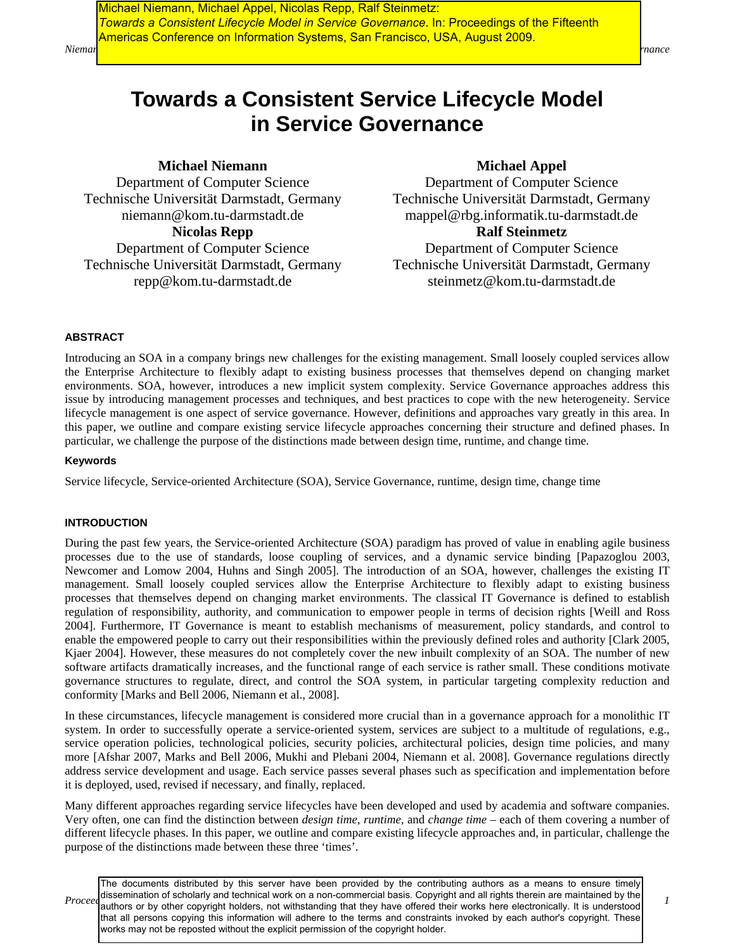*Nieman* et al. Consistent Service Lifecycle Model in Service Governance Governance Consistent Service Governance  $\eta$ Michael Niemann, Michael Appel, Nicolas Repp, Ralf Steinmetz: *Towards a Consistent Lifecycle Model in Service Governance*. In: Proceedings of the Fifteenth Americas Conference on Information Systems, San Francisco, USA, August 2009.

# **Towards a Consistent Service Lifecycle Model in Service Governance**

# **Michael Niemann**

Department of Computer Science Technische Universität Darmstadt, Germany niemann@kom.tu-darmstadt.de

**Nicolas Repp** 

Department of Computer Science Technische Universität Darmstadt, Germany repp@kom.tu-darmstadt.de

# **Michael Appel**

Department of Computer Science Technische Universität Darmstadt, Germany mappel@rbg.informatik.tu-darmstadt.de **Ralf Steinmetz**  Department of Computer Science

Technische Universität Darmstadt, Germany steinmetz@kom.tu-darmstadt.de

# **ABSTRACT**

Introducing an SOA in a company brings new challenges for the existing management. Small loosely coupled services allow the Enterprise Architecture to flexibly adapt to existing business processes that themselves depend on changing market environments. SOA, however, introduces a new implicit system complexity. Service Governance approaches address this issue by introducing management processes and techniques, and best practices to cope with the new heterogeneity. Service lifecycle management is one aspect of service governance. However, definitions and approaches vary greatly in this area. In this paper, we outline and compare existing service lifecycle approaches concerning their structure and defined phases. In particular, we challenge the purpose of the distinctions made between design time, runtime, and change time.

## **Keywords**

Service lifecycle, Service-oriented Architecture (SOA), Service Governance, runtime, design time, change time

# **INTRODUCTION**

During the past few years, the Service-oriented Architecture (SOA) paradigm has proved of value in enabling agile business processes due to the use of standards, loose coupling of services, and a dynamic service binding [Papazoglou 2003, Newcomer and Lomow 2004, Huhns and Singh 2005]. The introduction of an SOA, however, challenges the existing IT management. Small loosely coupled services allow the Enterprise Architecture to flexibly adapt to existing business processes that themselves depend on changing market environments. The classical IT Governance is defined to establish regulation of responsibility, authority, and communication to empower people in terms of decision rights [Weill and Ross 2004]. Furthermore, IT Governance is meant to establish mechanisms of measurement, policy standards, and control to enable the empowered people to carry out their responsibilities within the previously defined roles and authority [Clark 2005, Kjaer 2004]. However, these measures do not completely cover the new inbuilt complexity of an SOA. The number of new software artifacts dramatically increases, and the functional range of each service is rather small. These conditions motivate governance structures to regulate, direct, and control the SOA system, in particular targeting complexity reduction and conformity [Marks and Bell 2006, Niemann et al., 2008].

In these circumstances, lifecycle management is considered more crucial than in a governance approach for a monolithic IT system. In order to successfully operate a service-oriented system, services are subject to a multitude of regulations, e.g., service operation policies, technological policies, security policies, architectural policies, design time policies, and many more [Afshar 2007, Marks and Bell 2006, Mukhi and Plebani 2004, Niemann et al. 2008]. Governance regulations directly address service development and usage. Each service passes several phases such as specification and implementation before it is deployed, used, revised if necessary, and finally, replaced.

Many different approaches regarding service lifecycles have been developed and used by academia and software companies. Very often, one can find the distinction between *design time, runtime*, and *change time* – each of them covering a number of different lifecycle phases. In this paper, we outline and compare existing lifecycle approaches and, in particular, challenge the purpose of the distinctions made between these three 'times'.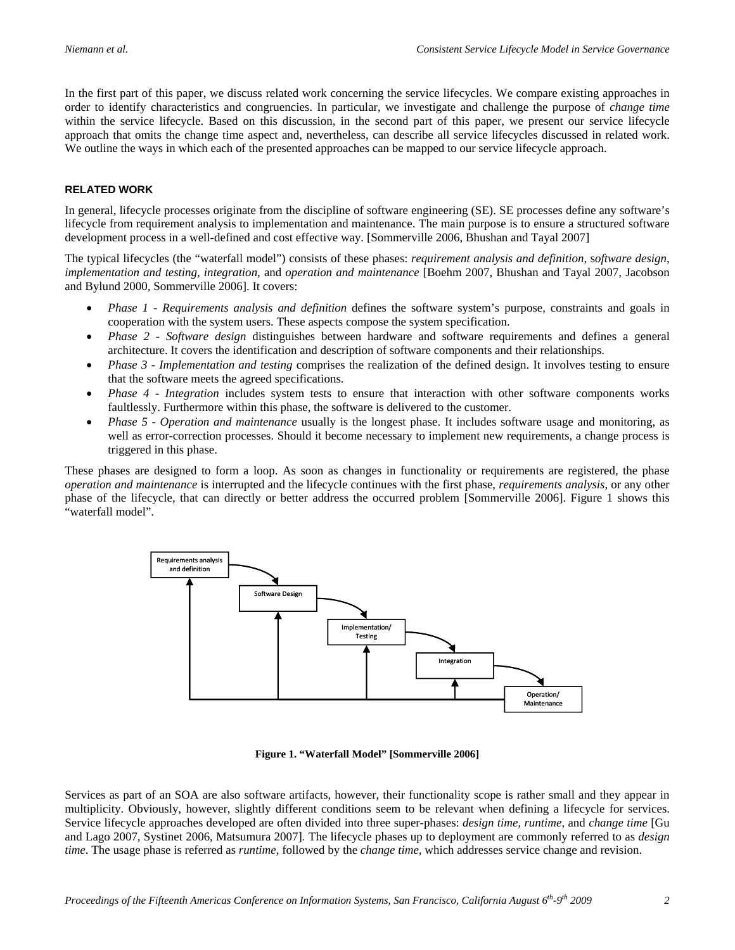In the first part of this paper, we discuss related work concerning the service lifecycles. We compare existing approaches in order to identify characteristics and congruencies. In particular, we investigate and challenge the purpose of *change time* within the service lifecycle. Based on this discussion, in the second part of this paper, we present our service lifecycle approach that omits the change time aspect and, nevertheless, can describe all service lifecycles discussed in related work. We outline the ways in which each of the presented approaches can be mapped to our service lifecycle approach.

# **RELATED WORK**

In general, lifecycle processes originate from the discipline of software engineering (SE). SE processes define any software's lifecycle from requirement analysis to implementation and maintenance. The main purpose is to ensure a structured software development process in a well-defined and cost effective way. [Sommerville 2006, Bhushan and Tayal 2007]

The typical lifecycles (the "waterfall model") consists of these phases: *requirement analysis and definition*, s*oftware design*, *implementation and testing, integration,* and *operation and maintenance* [Boehm 2007, Bhushan and Tayal 2007, Jacobson and Bylund 2000, Sommerville 2006]. It covers:

- *Phase 1 Requirements analysis and definition* defines the software system's purpose, constraints and goals in cooperation with the system users. These aspects compose the system specification.
- *Phase 2 Software design* distinguishes between hardware and software requirements and defines a general architecture. It covers the identification and description of software components and their relationships.
- *Phase 3 Implementation and testing* comprises the realization of the defined design. It involves testing to ensure that the software meets the agreed specifications.
- *Phase 4 Integration* includes system tests to ensure that interaction with other software components works faultlessly. Furthermore within this phase, the software is delivered to the customer.
- *Phase 5 Operation and maintenance* usually is the longest phase. It includes software usage and monitoring, as well as error-correction processes. Should it become necessary to implement new requirements, a change process is triggered in this phase.

These phases are designed to form a loop. As soon as changes in functionality or requirements are registered, the phase *operation and maintenance* is interrupted and the lifecycle continues with the first phase, *requirements analysis*, or any other phase of the lifecycle, that can directly or better address the occurred problem [Sommerville 2006]. Figure 1 shows this "waterfall model".



**Figure 1. "Waterfall Model" [Sommerville 2006]** 

Services as part of an SOA are also software artifacts, however, their functionality scope is rather small and they appear in multiplicity. Obviously, however, slightly different conditions seem to be relevant when defining a lifecycle for services. Service lifecycle approaches developed are often divided into three super-phases: *design time, runtime,* and *change time* [Gu and Lago 2007, Systinet 2006, Matsumura 2007]. The lifecycle phases up to deployment are commonly referred to as *design time*. The usage phase is referred as *runtime*, followed by the *change time,* which addresses service change and revision.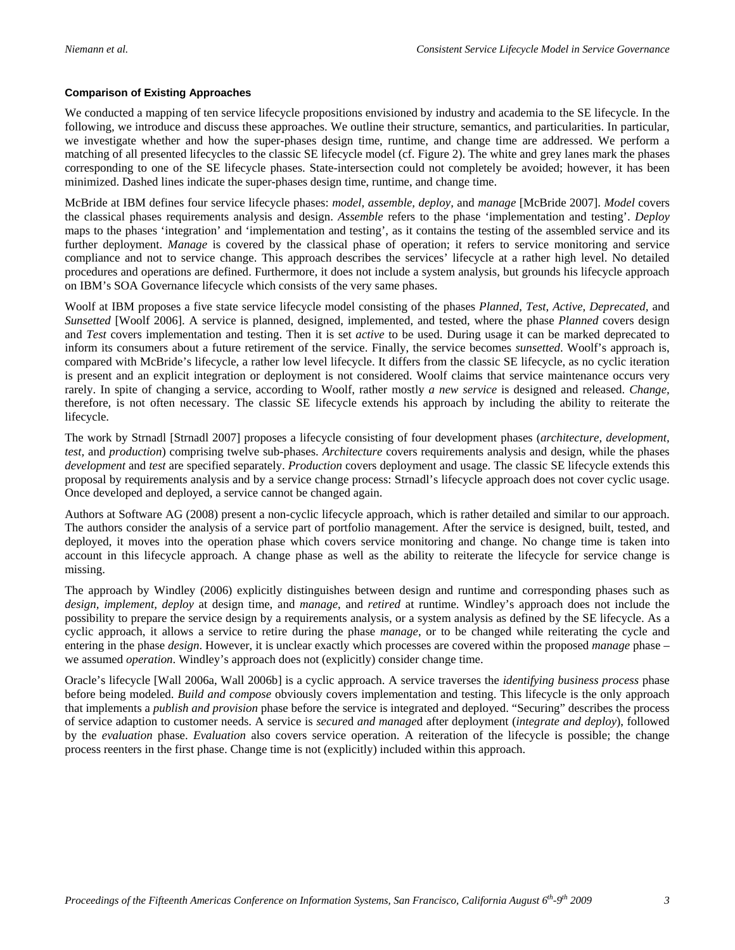# **Comparison of Existing Approaches**

We conducted a mapping of ten service lifecycle propositions envisioned by industry and academia to the SE lifecycle. In the following, we introduce and discuss these approaches. We outline their structure, semantics, and particularities. In particular, we investigate whether and how the super-phases design time, runtime, and change time are addressed. We perform a matching of all presented lifecycles to the classic SE lifecycle model (cf. Figure 2). The white and grey lanes mark the phases corresponding to one of the SE lifecycle phases. State-intersection could not completely be avoided; however, it has been minimized. Dashed lines indicate the super-phases design time, runtime, and change time.

McBride at IBM defines four service lifecycle phases: *model, assemble, deploy,* and *manage* [McBride 2007]. *Model* covers the classical phases requirements analysis and design. *Assemble* refers to the phase 'implementation and testing'. *Deploy* maps to the phases 'integration' and 'implementation and testing', as it contains the testing of the assembled service and its further deployment. *Manage* is covered by the classical phase of operation; it refers to service monitoring and service compliance and not to service change. This approach describes the services' lifecycle at a rather high level. No detailed procedures and operations are defined. Furthermore, it does not include a system analysis, but grounds his lifecycle approach on IBM's SOA Governance lifecycle which consists of the very same phases.

Woolf at IBM proposes a five state service lifecycle model consisting of the phases *Planned*, *Test*, *Active*, *Deprecated,* and *Sunsetted* [Woolf 2006]. A service is planned, designed, implemented, and tested, where the phase *Planned* covers design and *Test* covers implementation and testing. Then it is set *active* to be used. During usage it can be marked deprecated to inform its consumers about a future retirement of the service. Finally, the service becomes *sunsetted*. Woolf's approach is, compared with McBride's lifecycle, a rather low level lifecycle. It differs from the classic SE lifecycle, as no cyclic iteration is present and an explicit integration or deployment is not considered. Woolf claims that service maintenance occurs very rarely. In spite of changing a service, according to Woolf, rather mostly *a new service* is designed and released. *Change,* therefore, is not often necessary. The classic SE lifecycle extends his approach by including the ability to reiterate the lifecycle.

The work by Strnadl [Strnadl 2007] proposes a lifecycle consisting of four development phases (*architecture, development, test,* and *production*) comprising twelve sub-phases. *Architecture* covers requirements analysis and design, while the phases *development* and *test* are specified separately. *Production* covers deployment and usage. The classic SE lifecycle extends this proposal by requirements analysis and by a service change process: Strnadl's lifecycle approach does not cover cyclic usage. Once developed and deployed, a service cannot be changed again.

Authors at Software AG (2008) present a non-cyclic lifecycle approach, which is rather detailed and similar to our approach. The authors consider the analysis of a service part of portfolio management. After the service is designed, built, tested, and deployed, it moves into the operation phase which covers service monitoring and change. No change time is taken into account in this lifecycle approach. A change phase as well as the ability to reiterate the lifecycle for service change is missing.

The approach by Windley (2006) explicitly distinguishes between design and runtime and corresponding phases such as *design, implement, deploy* at design time, and *manage*, and *retired* at runtime. Windley's approach does not include the possibility to prepare the service design by a requirements analysis, or a system analysis as defined by the SE lifecycle. As a cyclic approach, it allows a service to retire during the phase *manage*, or to be changed while reiterating the cycle and entering in the phase *design*. However, it is unclear exactly which processes are covered within the proposed *manage* phase – we assumed *operation*. Windley's approach does not (explicitly) consider change time.

Oracle's lifecycle [Wall 2006a, Wall 2006b] is a cyclic approach. A service traverses the *identifying business process* phase before being modeled. *Build and compose* obviously covers implementation and testing. This lifecycle is the only approach that implements a *publish and provision* phase before the service is integrated and deployed. "Securing" describes the process of service adaption to customer needs. A service is *secure*d *and manage*d after deployment (*integrate and deploy*), followed by the *evaluation* phase. *Evaluation* also covers service operation. A reiteration of the lifecycle is possible; the change process reenters in the first phase. Change time is not (explicitly) included within this approach.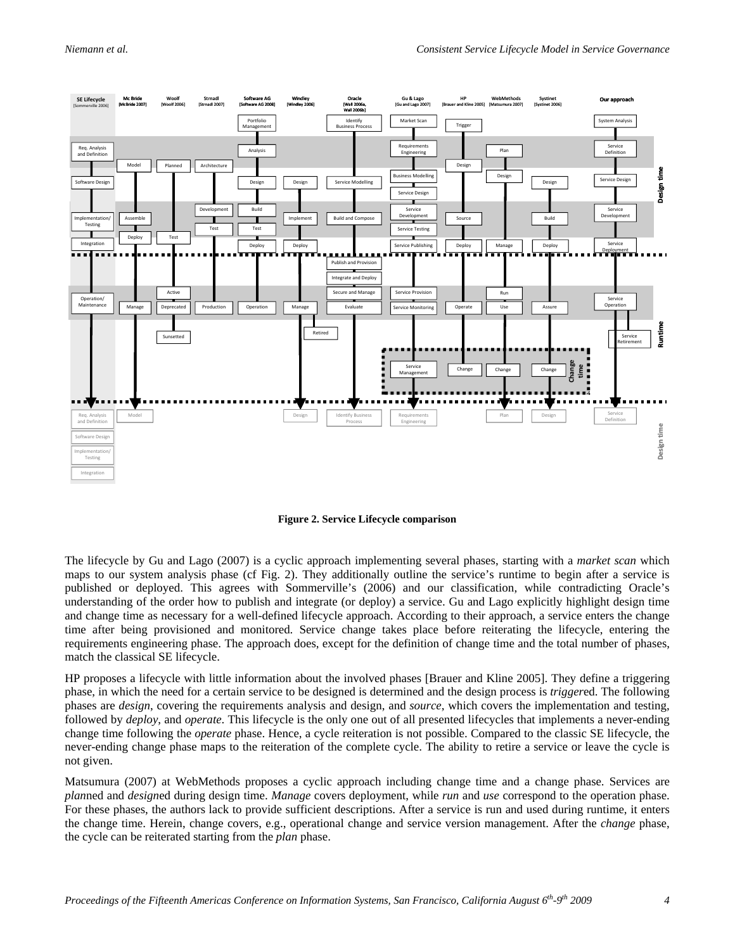

**Figure 2. Service Lifecycle comparison** 

The lifecycle by Gu and Lago (2007) is a cyclic approach implementing several phases, starting with a *market scan* which maps to our system analysis phase (cf Fig. 2). They additionally outline the service's runtime to begin after a service is published or deployed. This agrees with Sommerville's (2006) and our classification, while contradicting Oracle's understanding of the order how to publish and integrate (or deploy) a service. Gu and Lago explicitly highlight design time and change time as necessary for a well-defined lifecycle approach. According to their approach, a service enters the change time after being provisioned and monitored. Service change takes place before reiterating the lifecycle, entering the requirements engineering phase. The approach does, except for the definition of change time and the total number of phases, match the classical SE lifecycle.

HP proposes a lifecycle with little information about the involved phases [Brauer and Kline 2005]. They define a triggering phase, in which the need for a certain service to be designed is determined and the design process is *trigger*ed. The following phases are *design*, covering the requirements analysis and design, and *source*, which covers the implementation and testing, followed by *deploy*, and *operate*. This lifecycle is the only one out of all presented lifecycles that implements a never-ending change time following the *operate* phase. Hence, a cycle reiteration is not possible. Compared to the classic SE lifecycle, the never-ending change phase maps to the reiteration of the complete cycle. The ability to retire a service or leave the cycle is not given.

Matsumura (2007) at WebMethods proposes a cyclic approach including change time and a change phase. Services are *plan*ned and *design*ed during design time. *Manage* covers deployment, while *run* and *use* correspond to the operation phase. For these phases, the authors lack to provide sufficient descriptions. After a service is run and used during runtime, it enters the change time. Herein, change covers, e.g., operational change and service version management. After the *change* phase, the cycle can be reiterated starting from the *plan* phase.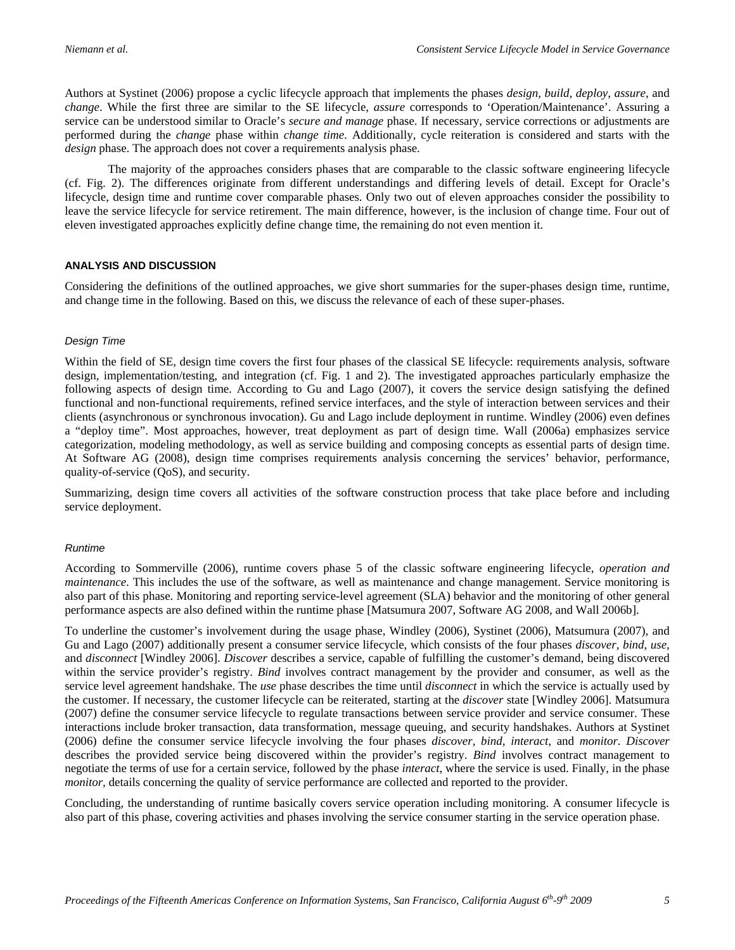Authors at Systinet (2006) propose a cyclic lifecycle approach that implements the phases *design, build, deploy*, *assure,* and *change*. While the first three are similar to the SE lifecycle, *assure* corresponds to 'Operation/Maintenance'. Assuring a service can be understood similar to Oracle's *secure and manage* phase. If necessary, service corrections or adjustments are performed during the *change* phase within *change time*. Additionally, cycle reiteration is considered and starts with the *design* phase. The approach does not cover a requirements analysis phase.

The majority of the approaches considers phases that are comparable to the classic software engineering lifecycle (cf. Fig. 2). The differences originate from different understandings and differing levels of detail. Except for Oracle's lifecycle, design time and runtime cover comparable phases. Only two out of eleven approaches consider the possibility to leave the service lifecycle for service retirement. The main difference, however, is the inclusion of change time. Four out of eleven investigated approaches explicitly define change time, the remaining do not even mention it.

## **ANALYSIS AND DISCUSSION**

Considering the definitions of the outlined approaches, we give short summaries for the super-phases design time, runtime, and change time in the following. Based on this, we discuss the relevance of each of these super-phases.

#### *Design Time*

Within the field of SE, design time covers the first four phases of the classical SE lifecycle: requirements analysis, software design, implementation/testing, and integration (cf. Fig. 1 and 2). The investigated approaches particularly emphasize the following aspects of design time. According to Gu and Lago (2007), it covers the service design satisfying the defined functional and non-functional requirements, refined service interfaces, and the style of interaction between services and their clients (asynchronous or synchronous invocation). Gu and Lago include deployment in runtime. Windley (2006) even defines a "deploy time". Most approaches, however, treat deployment as part of design time. Wall (2006a) emphasizes service categorization, modeling methodology, as well as service building and composing concepts as essential parts of design time. At Software AG (2008), design time comprises requirements analysis concerning the services' behavior, performance, quality-of-service (QoS), and security.

Summarizing, design time covers all activities of the software construction process that take place before and including service deployment.

#### *Runtime*

According to Sommerville (2006), runtime covers phase 5 of the classic software engineering lifecycle, *operation and maintenance*. This includes the use of the software, as well as maintenance and change management. Service monitoring is also part of this phase. Monitoring and reporting service-level agreement (SLA) behavior and the monitoring of other general performance aspects are also defined within the runtime phase [Matsumura 2007, Software AG 2008, and Wall 2006b].

To underline the customer's involvement during the usage phase, Windley (2006), Systinet (2006), Matsumura (2007), and Gu and Lago (2007) additionally present a consumer service lifecycle, which consists of the four phases *discover, bind, use,* and *disconnect* [Windley 2006]. *Discover* describes a service, capable of fulfilling the customer's demand, being discovered within the service provider's registry. *Bind* involves contract management by the provider and consumer, as well as the service level agreement handshake. The *use* phase describes the time until *disconnect* in which the service is actually used by the customer. If necessary, the customer lifecycle can be reiterated, starting at the *discover* state [Windley 2006]. Matsumura (2007) define the consumer service lifecycle to regulate transactions between service provider and service consumer. These interactions include broker transaction, data transformation, message queuing, and security handshakes. Authors at Systinet (2006) define the consumer service lifecycle involving the four phases *discover, bind, interact,* and *monitor*. *Discover* describes the provided service being discovered within the provider's registry. *Bind* involves contract management to negotiate the terms of use for a certain service, followed by the phase *interact*, where the service is used. Finally, in the phase *monitor*, details concerning the quality of service performance are collected and reported to the provider.

Concluding, the understanding of runtime basically covers service operation including monitoring. A consumer lifecycle is also part of this phase, covering activities and phases involving the service consumer starting in the service operation phase.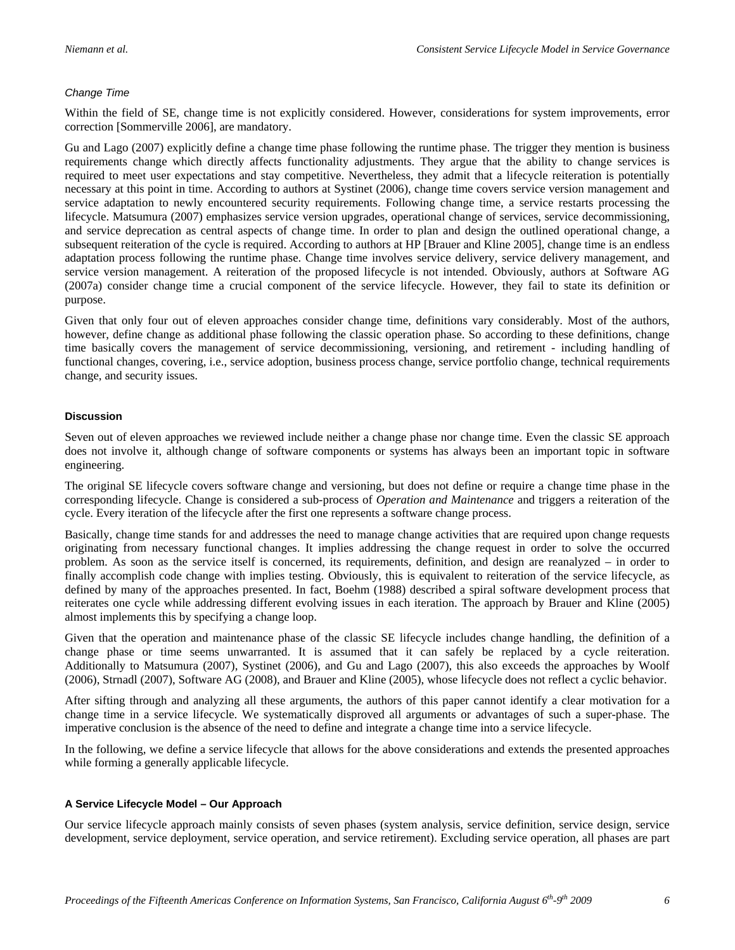# *Change Time*

Within the field of SE, change time is not explicitly considered. However, considerations for system improvements, error correction [Sommerville 2006], are mandatory.

Gu and Lago (2007) explicitly define a change time phase following the runtime phase. The trigger they mention is business requirements change which directly affects functionality adjustments. They argue that the ability to change services is required to meet user expectations and stay competitive. Nevertheless, they admit that a lifecycle reiteration is potentially necessary at this point in time. According to authors at Systinet (2006), change time covers service version management and service adaptation to newly encountered security requirements. Following change time, a service restarts processing the lifecycle. Matsumura (2007) emphasizes service version upgrades, operational change of services, service decommissioning, and service deprecation as central aspects of change time. In order to plan and design the outlined operational change, a subsequent reiteration of the cycle is required. According to authors at HP [Brauer and Kline 2005], change time is an endless adaptation process following the runtime phase. Change time involves service delivery, service delivery management, and service version management. A reiteration of the proposed lifecycle is not intended. Obviously, authors at Software AG (2007a) consider change time a crucial component of the service lifecycle. However, they fail to state its definition or purpose.

Given that only four out of eleven approaches consider change time, definitions vary considerably. Most of the authors, however, define change as additional phase following the classic operation phase. So according to these definitions, change time basically covers the management of service decommissioning, versioning, and retirement - including handling of functional changes, covering, i.e., service adoption, business process change, service portfolio change, technical requirements change, and security issues.

# **Discussion**

Seven out of eleven approaches we reviewed include neither a change phase nor change time. Even the classic SE approach does not involve it, although change of software components or systems has always been an important topic in software engineering.

The original SE lifecycle covers software change and versioning, but does not define or require a change time phase in the corresponding lifecycle. Change is considered a sub-process of *Operation and Maintenance* and triggers a reiteration of the cycle. Every iteration of the lifecycle after the first one represents a software change process.

Basically, change time stands for and addresses the need to manage change activities that are required upon change requests originating from necessary functional changes. It implies addressing the change request in order to solve the occurred problem. As soon as the service itself is concerned, its requirements, definition, and design are reanalyzed – in order to finally accomplish code change with implies testing. Obviously, this is equivalent to reiteration of the service lifecycle, as defined by many of the approaches presented. In fact, Boehm (1988) described a spiral software development process that reiterates one cycle while addressing different evolving issues in each iteration. The approach by Brauer and Kline (2005) almost implements this by specifying a change loop.

Given that the operation and maintenance phase of the classic SE lifecycle includes change handling, the definition of a change phase or time seems unwarranted. It is assumed that it can safely be replaced by a cycle reiteration. Additionally to Matsumura (2007), Systinet (2006), and Gu and Lago (2007), this also exceeds the approaches by Woolf (2006), Strnadl (2007), Software AG (2008), and Brauer and Kline (2005), whose lifecycle does not reflect a cyclic behavior.

After sifting through and analyzing all these arguments, the authors of this paper cannot identify a clear motivation for a change time in a service lifecycle. We systematically disproved all arguments or advantages of such a super-phase. The imperative conclusion is the absence of the need to define and integrate a change time into a service lifecycle.

In the following, we define a service lifecycle that allows for the above considerations and extends the presented approaches while forming a generally applicable lifecycle.

# **A Service Lifecycle Model – Our Approach**

Our service lifecycle approach mainly consists of seven phases (system analysis, service definition, service design, service development, service deployment, service operation, and service retirement). Excluding service operation, all phases are part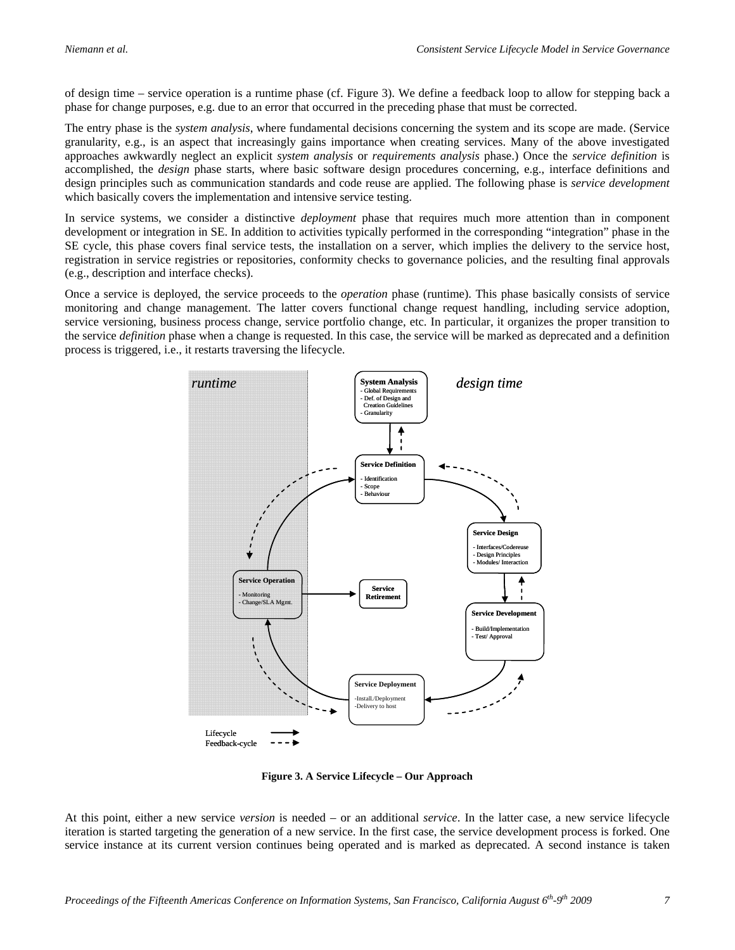of design time – service operation is a runtime phase (cf. Figure 3). We define a feedback loop to allow for stepping back a phase for change purposes, e.g. due to an error that occurred in the preceding phase that must be corrected.

The entry phase is the *system analysis*, where fundamental decisions concerning the system and its scope are made. (Service granularity, e.g., is an aspect that increasingly gains importance when creating services. Many of the above investigated approaches awkwardly neglect an explicit *system analysis* or *requirements analysis* phase.) Once the *service definition* is accomplished, the *design* phase starts, where basic software design procedures concerning, e.g., interface definitions and design principles such as communication standards and code reuse are applied. The following phase is *service development* which basically covers the implementation and intensive service testing.

In service systems, we consider a distinctive *deployment* phase that requires much more attention than in component development or integration in SE. In addition to activities typically performed in the corresponding "integration" phase in the SE cycle, this phase covers final service tests, the installation on a server, which implies the delivery to the service host, registration in service registries or repositories, conformity checks to governance policies, and the resulting final approvals (e.g., description and interface checks).

Once a service is deployed, the service proceeds to the *operation* phase (runtime). This phase basically consists of service monitoring and change management. The latter covers functional change request handling, including service adoption, service versioning, business process change, service portfolio change, etc. In particular, it organizes the proper transition to the service *definition* phase when a change is requested. In this case, the service will be marked as deprecated and a definition process is triggered, i.e., it restarts traversing the lifecycle.



**Figure 3. A Service Lifecycle – Our Approach** 

At this point, either a new service *version* is needed – or an additional *service*. In the latter case, a new service lifecycle iteration is started targeting the generation of a new service. In the first case, the service development process is forked. One service instance at its current version continues being operated and is marked as deprecated. A second instance is taken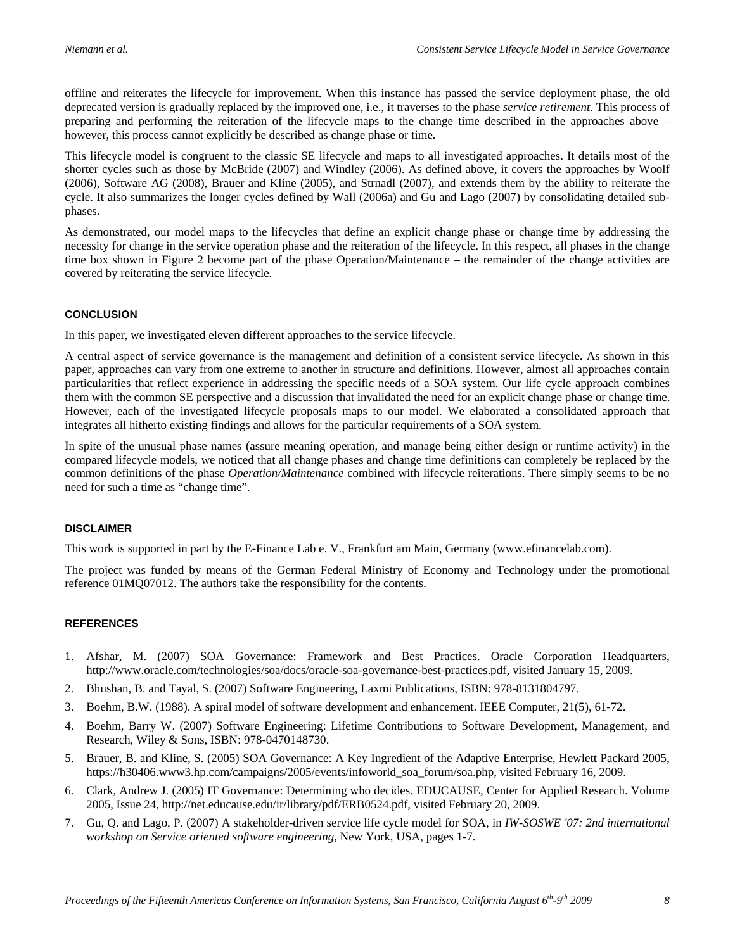offline and reiterates the lifecycle for improvement. When this instance has passed the service deployment phase, the old deprecated version is gradually replaced by the improved one, i.e., it traverses to the phase *service retirement*. This process of preparing and performing the reiteration of the lifecycle maps to the change time described in the approaches above – however, this process cannot explicitly be described as change phase or time.

This lifecycle model is congruent to the classic SE lifecycle and maps to all investigated approaches. It details most of the shorter cycles such as those by McBride (2007) and Windley (2006). As defined above, it covers the approaches by Woolf (2006), Software AG (2008), Brauer and Kline (2005), and Strnadl (2007), and extends them by the ability to reiterate the cycle. It also summarizes the longer cycles defined by Wall (2006a) and Gu and Lago (2007) by consolidating detailed subphases.

As demonstrated, our model maps to the lifecycles that define an explicit change phase or change time by addressing the necessity for change in the service operation phase and the reiteration of the lifecycle. In this respect, all phases in the change time box shown in Figure 2 become part of the phase Operation/Maintenance – the remainder of the change activities are covered by reiterating the service lifecycle.

## **CONCLUSION**

In this paper, we investigated eleven different approaches to the service lifecycle.

A central aspect of service governance is the management and definition of a consistent service lifecycle. As shown in this paper, approaches can vary from one extreme to another in structure and definitions. However, almost all approaches contain particularities that reflect experience in addressing the specific needs of a SOA system. Our life cycle approach combines them with the common SE perspective and a discussion that invalidated the need for an explicit change phase or change time. However, each of the investigated lifecycle proposals maps to our model. We elaborated a consolidated approach that integrates all hitherto existing findings and allows for the particular requirements of a SOA system.

In spite of the unusual phase names (assure meaning operation, and manage being either design or runtime activity) in the compared lifecycle models, we noticed that all change phases and change time definitions can completely be replaced by the common definitions of the phase *Operation/Maintenance* combined with lifecycle reiterations. There simply seems to be no need for such a time as "change time".

# **DISCLAIMER**

This work is supported in part by the E-Finance Lab e. V., Frankfurt am Main, Germany (www.efinancelab.com).

The project was funded by means of the German Federal Ministry of Economy and Technology under the promotional reference 01MQ07012. The authors take the responsibility for the contents.

#### **REFERENCES**

- 1. Afshar, M. (2007) SOA Governance: Framework and Best Practices. Oracle Corporation Headquarters, http://www.oracle.com/technologies/soa/docs/oracle-soa-governance-best-practices.pdf, visited January 15, 2009.
- 2. Bhushan, B. and Tayal, S. (2007) Software Engineering, Laxmi Publications, ISBN: 978-8131804797.
- 3. Boehm, B.W. (1988). A spiral model of software development and enhancement. IEEE Computer, 21(5), 61-72.
- 4. Boehm, Barry W. (2007) Software Engineering: Lifetime Contributions to Software Development, Management, and Research, Wiley & Sons, ISBN: 978-0470148730.
- 5. Brauer, B. and Kline, S. (2005) SOA Governance: A Key Ingredient of the Adaptive Enterprise, Hewlett Packard 2005, https://h30406.www3.hp.com/campaigns/2005/events/infoworld\_soa\_forum/soa.php, visited February 16, 2009.
- 6. Clark, Andrew J. (2005) IT Governance: Determining who decides. EDUCAUSE, Center for Applied Research. Volume 2005, Issue 24, http://net.educause.edu/ir/library/pdf/ERB0524.pdf, visited February 20, 2009.
- 7. Gu, Q. and Lago, P. (2007) A stakeholder-driven service life cycle model for SOA, in *IW-SOSWE '07: 2nd international workshop on Service oriented software engineering,* New York, USA, pages 1-7.